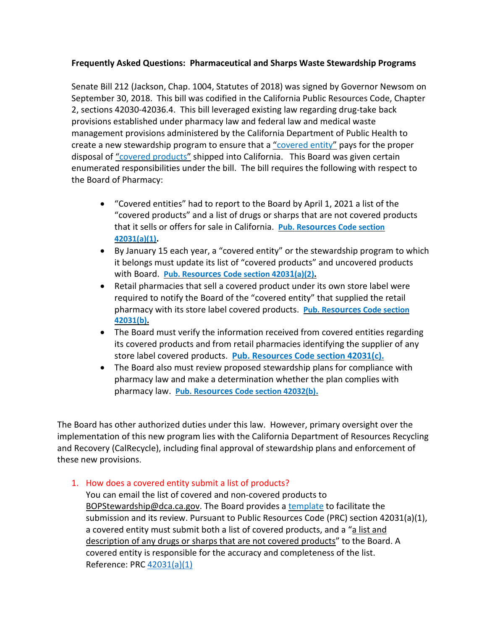# **Frequently Asked Questions: Pharmaceutical and Sharps Waste Stewardship Programs**

 Senate Bill 212 (Jackson, Chap. 1004, Statutes of 2018) was signed by Governor Newsom on September 30, 2018. This bill was codified in the California Public Resources Code, Chapter 2, sections 42030-42036.4. This bill leveraged existing law regarding drug-take back provisions established under pharmacy law and federal law and medical waste management provisions administered by the California Department of Public Health to create a new stewardship program to ensure that a ["covered entity"](https://leginfo.legislature.ca.gov/faces/codes_displaySection.xhtml?lawCode=PRC§ionNum=42030.) pays for the proper disposal of ["covered products"](https://leginfo.legislature.ca.gov/faces/codes_displaySection.xhtml?lawCode=PRC§ionNum=42030.) shipped into California. This Board was given certain enumerated responsibilities under the bill. The bill requires the following with respect to the Board of Pharmacy:

- • "Covered entities" had to report to the Board by April 1, 2021 a list of the "covered products" and a list of drugs or sharps that are not covered products that it sells or offers for sale in California. **[Pub. Resources Code section](https://leginfo.legislature.ca.gov/faces/codes_displaySection.xhtml?lawCode=PRC§ionNum=42031.)  [42031\(a\)\(1\).](https://leginfo.legislature.ca.gov/faces/codes_displaySection.xhtml?lawCode=PRC§ionNum=42031.)**
- • By January 15 each year, a "covered entity" or the stewardship program to which it belongs must update its list of "covered products" and uncovered products with Board. **[Pub. Resources Code section 42031\(a\)\(2\).](https://leginfo.legislature.ca.gov/faces/codes_displaySection.xhtml?lawCode=PRC§ionNum=42031.)**
- • Retail pharmacies that sell a covered product under its own store label were required to notify the Board of the "covered entity" that supplied the retail pharmacy with its store label covered products. **[Pub. Resources Code section](https://leginfo.legislature.ca.gov/faces/codes_displaySection.xhtml?lawCode=PRC§ionNum=42031.)  [42031\(b\).](https://leginfo.legislature.ca.gov/faces/codes_displaySection.xhtml?lawCode=PRC§ionNum=42031.)**
- • The Board must verify the information received from covered entities regarding its covered products and from retail pharmacies identifying the supplier of any store label covered products. **[Pub. Resources Code section 42031\(c\).](https://leginfo.legislature.ca.gov/faces/codes_displaySection.xhtml?lawCode=PRC§ionNum=42031.)**
- • The Board also must review proposed stewardship plans for compliance with pharmacy law and make a determination whether the plan complies with pharmacy law. **[Pub. Resources Code section 42032\(b\).](https://leginfo.legislature.ca.gov/faces/codes_displaySection.xhtml?lawCode=PRC§ionNum=42032.)**

 The Board has other authorized duties under this law. However, primary oversight over the implementation of this new program lies with the California Department of Resources Recycling and Recovery (CalRecycle), including final approval of stewardship plans and enforcement of these new provisions.

# 1. How does a covered entity submit a list of products?

 You can email the list of covered and non-covered products to [BOPStewardship@dca.ca.gov.](mailto:BOPStewardship@dca.ca.gov) The Board provides a [template](https://www.pharmacy.ca.gov/licensees/facility/ca_products_notification_template.xlsx) to facilitate the submission and its review. Pursuant to Public Resources Code (PRC) section 42031(a)(1), a covered entity must submit both a list of covered products, and a "a list and description of any drugs or sharps that are not covered products" to the Board. A covered entity is responsible for the accuracy and completeness of the list. Reference: PRC 42031(a)(1)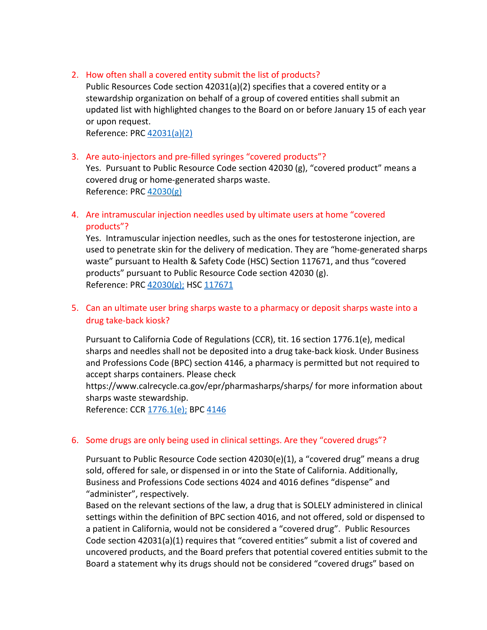## 2. How often shall a covered entity submit the list of products?

 Public Resources Code section 42031(a)(2) specifies that a covered entity or a stewardship organization on behalf of a group of covered entities shall submit an updated list with highlighted changes to the Board on or before January 15 of each year or upon request.

Reference: PRC 42031(a)(2)

### 3. Are auto-injectors and pre-filled syringes "covered products"?

 Yes. Pursuant to Public Resource Code section 42030 (g), "covered product" means a covered drug or home-generated sharps waste. Reference: PRC 42030(g)

# 4. Are intramuscular injection needles used by ultimate users at home "covered products"?

products"?<br>Yes. Intramuscular injection needles, such as the ones for testosterone injection, are used to penetrate skin for the delivery of medication. They are "home-generated sharps waste" pursuant to Health & Safety Code (HSC) Section 117671, and thus "covered products" pursuant to Public Resource Code section 42030 (g). Reference: PRC [42030\(g\);](https://leginfo.legislature.ca.gov/faces/codes_displaySection.xhtml?lawCode=PRC§ionNum=42030.) HSC 117671

# 5. Can an ultimate user bring sharps waste to a pharmacy or deposit sharps waste into a drug take-back kiosk?

 Pursuant to California Code of Regulations (CCR), tit. 16 section 1776.1(e), medical sharps and needles shall not be deposited into a drug take-back kiosk. Under Business and Professions Code (BPC) section 4146, a pharmacy is permitted but not required to accept sharps containers. Please check

 <https://www.calrecycle.ca.gov/epr/pharmasharps/sharps>/ for more information about sharps waste stewardship.

Reference: CCR [1776.1\(e\);](https://govt.westlaw.com/calregs/Document/I7C6CC118FB9540DDA92F3457DED6236E?viewType=FullText&originationContext=documenttoc&transitionType=DocumentItem&contextData=%28sc.Default%29) BPC 4146

## 6. Some drugs are only being used in clinical settings. Are they "covered drugs"?

 Pursuant to Public Resource Code section 42030(e)(1), a "covered drug" means a drug sold, offered for sale, or dispensed in or into the State of California. Additionally, Business and Professions Code sections 4024 and 4016 defines "dispense" and "administer", respectively.

 Based on the relevant sections of the law, a drug that is SOLELY administered in clinical settings within the definition of BPC section 4016, and not offered, sold or dispensed to a patient in California, would not be considered a "covered drug". Public Resources Code section 42031(a)(1) requires that "covered entities" submit a list of covered and uncovered products, and the Board prefers that potential covered entities submit to the Board a statement why its drugs should not be considered "covered drugs" based on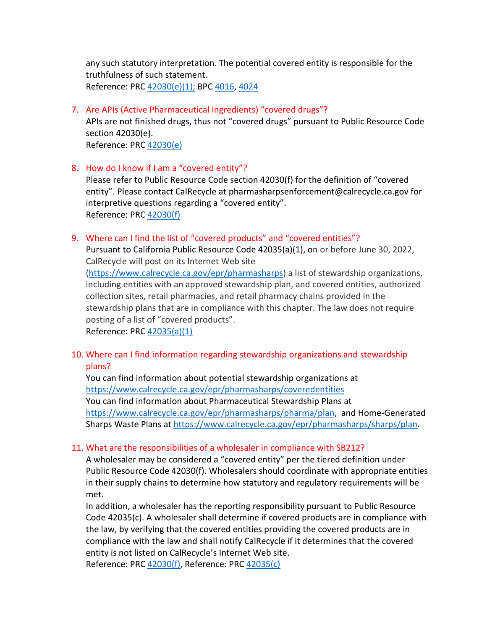any such statutory interpretation. The potential covered entity is responsible for the truthfulness of such statement. Reference: PRC [42030\(e\)\(1\);](https://leginfo.legislature.ca.gov/faces/codes_displaySection.xhtml?lawCode=PRC§ionNum=42030.) BPC [4016,](https://leginfo.legislature.ca.gov/faces/codes_displayText.xhtml?sectionNum=4016.&lawCode=BPC) 4024

7. Are APIs (Active Pharmaceutical Ingredients) "covered drugs"?

 APIs are not finished drugs, thus not "covered drugs" pursuant to Public Resource Code section 42030(e). Reference: PRC 42030(e)

8. How do I know if I am a "covered entity"?

 Please refer to Public Resource Code section 42030(f) for the definition of "covered entity". Please contact CalRecycle at [pharmasharpsenforcement@calrecycle.ca.gov](https://leginfo.legislature.ca.gov/faces/codes_displayText.xhtml) for interpretive questions regarding a "covered entity". Reference: PRC 42030(f)

9. Where can I find the list of "covered products" and "covered entities"?

 Pursuant to California Public Resource Code 42035(a)(1), on or before June 30, 2022, CalRecycle will post on its Internet Web site

 [\(https://www.calrecycle.ca.gov/epr/pharmasharps\)](https://www.fda.gov/combination-products/about-combination-products/frequently-asked-questions-about-combination-products) a list of stewardship organizations, including entities with an approved stewardship plan, and covered entities, authorized collection sites, retail pharmacies, and retail pharmacy chains provided in the stewardship plans that are in compliance with this chapter. The law does not require posting of a list of "covered products".

Reference: PRC 42035(a)(1)

 10. Where can I find information regarding stewardship organizations and stewardship plans?

 You can find information about potential stewardship organizations at You can find information about Pharmaceutical Stewardship Plans at [https://www.calrecycle.ca.gov/epr/pharmasharps/pharma/plan,](https://www.fda.gov/drugs/status-otc-rulemakings/rulemaking-history-otc-vaginal-contraceptive-drug-products) and Home-Generated Sharps Waste Plans at [https://www.calrecycle.ca.gov/epr/pharmasharps/sharps/plan.](https://leginfo.legislature.ca.gov/faces/codes_displaySection.xhtml) [https://www.calrecycle.ca.gov/epr/pharmasharps/coveredentities](https://leginfo.legislature.ca.gov/faces/codes_displayText.xhtml) 

## 11. What are the responsibilities of a wholesaler in compliance with SB212?

 A wholesaler may be considered a "covered entity" per the tiered definition under Public Resource Code 42030(f). Wholesalers should coordinate with appropriate entities in their supply chains to determine how statutory and regulatory requirements will be met.

 In addition, a wholesaler has the reporting responsibility pursuant to Public Resource Code 42035(c). A wholesaler shall determine if covered products are in compliance with the law, by verifying that the covered entities providing the covered products are in compliance with the law and shall notify CalRecycle if it determines that the covered entity is not listed on CalRecycle's Internet Web site. Reference: PRC [42030\(f\),](https://leginfo.legislature.ca.gov/faces/codes_displaySection.xhtml?lawCode=PRC§ionNum=42030.) Reference: PRC 42035(c)